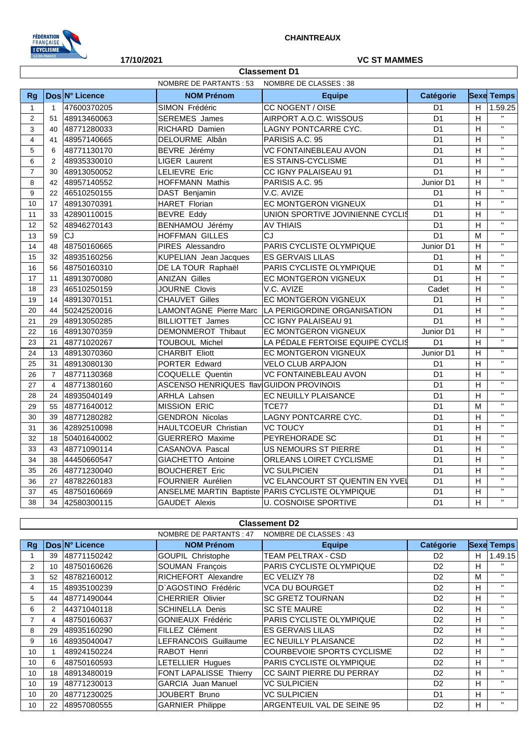

## **17/10/2021 VC ST MAMMES**

|                | <b>Classement D1</b> |                |                                         |                                                    |                 |                           |                         |  |  |
|----------------|----------------------|----------------|-----------------------------------------|----------------------------------------------------|-----------------|---------------------------|-------------------------|--|--|
|                |                      |                | NOMBRE DE PARTANTS : 53                 | NOMBRE DE CLASSES : 38                             |                 |                           |                         |  |  |
| Rg             |                      | Dos N° Licence | <b>NOM Prénom</b>                       | <b>Equipe</b>                                      | Catégorie       |                           | <b>Sexe Temps</b>       |  |  |
| $\mathbf{1}$   | $\mathbf{1}$         | 47600370205    | SIMON Frédéric                          | CC NOGENT / OISE                                   | D <sub>1</sub>  | H                         | 1.59.25                 |  |  |
| $\overline{c}$ | 51                   | 48913460063    | <b>SEREMES</b> James                    | AIRPORT A.O.C. WISSOUS                             | $\overline{D1}$ | $\overline{H}$            | $\mathbf{u}$            |  |  |
| 3              | 40                   | 48771280033    | RICHARD Damien                          | LAGNY PONTCARRE CYC.                               | D <sub>1</sub>  | H                         | $\mathbf{u}$            |  |  |
| $\overline{4}$ | 41                   | 48957140665    | DELOURME Albân                          | PARISIS A.C. 95                                    | D <sub>1</sub>  | H                         | $\mathbf{u}$            |  |  |
| 5              | 6                    | 48771130170    | BEVRE Jérémy                            | VC FONTAINEBLEAU AVON                              | D <sub>1</sub>  | H                         | $\mathbf{H}$            |  |  |
| 6              | 2                    | 48935330010    | <b>LIGER Laurent</b>                    | <b>ES STAINS-CYCLISME</b>                          | D1              | H                         | $\overline{\mathbf{u}}$ |  |  |
| $\overline{7}$ | 30                   | 48913050052    | <b>LELIEVRE Eric</b>                    | <b>CC IGNY PALAISEAU 91</b>                        | D <sub>1</sub>  | H                         | $\mathbf{H}$            |  |  |
| 8              | 42                   | 48957140552    | <b>HOFFMANN Mathis</b>                  | PARISIS A.C. 95                                    | Junior D1       | H                         | $\overline{\mathbf{u}}$ |  |  |
| 9              | 22                   | 46510250155    | DAST Benjamin                           | V.C. AVIZE                                         | D <sub>1</sub>  | $\boldsymbol{\mathsf{H}}$ | $\mathbf{H}$            |  |  |
| 10             | 17                   | 48913070391    | <b>HARET Florian</b>                    | EC MONTGERON VIGNEUX                               | D <sub>1</sub>  | $\boldsymbol{\mathsf{H}}$ | $\mathbf{H}$            |  |  |
| 11             | 33                   | 42890110015    | <b>BEVRE Eddy</b>                       | UNION SPORTIVE JOVINIENNE CYCLIS                   | D <sub>1</sub>  | H                         | $\bar{\mathbf{H}}$      |  |  |
| 12             | 52                   | 48946270143    | BENHAMOU Jérémy                         | <b>AV THIAIS</b>                                   | D <sub>1</sub>  | H                         | $\mathbf{H}$            |  |  |
| 13             | 59                   | $\overline{c}$ | <b>HOFFMAN GILLES</b>                   | $\overline{cJ}$                                    | $\overline{D1}$ | M                         | $\overline{\mathbf{u}}$ |  |  |
| 14             | 48                   | 48750160665    | PIRES Alessandro                        | PARIS CYCLISTE OLYMPIQUE                           | Junior D1       | H                         | $\overline{\mathbf{u}}$ |  |  |
| 15             | 32                   | 48935160256    | <b>KUPELIAN</b> Jean Jacques            | <b>ES GERVAIS LILAS</b>                            | D <sub>1</sub>  | H                         | $\bar{\mathbf{H}}$      |  |  |
| 16             | 56                   | 48750160310    | DE LA TOUR Raphaël                      | PARIS CYCLISTE OLYMPIQUE                           | D <sub>1</sub>  | M                         | $\mathbf{H}$            |  |  |
| 17             | 11                   | 48913070080    | <b>ANIZAN Gilles</b>                    | EC MONTGERON VIGNEUX                               | $\overline{D1}$ | $\overline{H}$            | $\overline{\mathbf{u}}$ |  |  |
| 18             | 23                   | 46510250159    | JOURNE Clovis                           | V.C. AVIZE                                         | Cadet           | H                         | $\overline{u}$          |  |  |
| 19             | 14                   | 48913070151    | <b>CHAUVET Gilles</b>                   | EC MONTGERON VIGNEUX                               | D <sub>1</sub>  | H                         | $\mathbf{H}$            |  |  |
| 20             | 44                   | 50242520016    |                                         | LAMONTAGNE Pierre Marc LA PERIGORDINE ORGANISATION | D <sub>1</sub>  | H                         | $\mathbf{H}$            |  |  |
| 21             | 29                   | 48913050285    | <b>BILLIOTTET James</b>                 | CC IGNY PALAISEAU 91                               | $\overline{D1}$ | $\overline{H}$            | $\mathbf{H}$            |  |  |
| 22             | 16                   | 48913070359    | DEMONMEROT Thibaut                      | EC MONTGERON VIGNEUX                               | Junior D1       | H                         | $\mathbf{H}$            |  |  |
| 23             | 21                   | 48771020267    | <b>TOUBOUL Michel</b>                   | LA PÉDALE FERTOISE EQUIPE CYCLIS                   | D <sub>1</sub>  | H                         | $\mathbf{H}$            |  |  |
| 24             | 13                   | 48913070360    | <b>CHARBIT Eliott</b>                   | EC MONTGERON VIGNEUX                               | Junior D1       | H                         | $\overline{u}$          |  |  |
| 25             | 31                   | 48913080130    | PORTER Edward                           | <b>VELO CLUB ARPAJON</b>                           | D <sub>1</sub>  | $\overline{H}$            | $\overline{u}$          |  |  |
| 26             | $\overline{7}$       | 48771130368    | COQUELLE Quentin                        | VC FONTAINEBLEAU AVON                              | D <sub>1</sub>  | H                         | $\mathbf{H}$            |  |  |
| 27             | $\overline{4}$       | 48771380160    | ASCENSO HENRIQUES flav GUIDON PROVINOIS |                                                    | D <sub>1</sub>  | H                         | $\mathbf{H}$            |  |  |
| 28             | 24                   | 48935040149    | <b>ARHLA Lahsen</b>                     | EC NEUILLY PLAISANCE                               | D <sub>1</sub>  | H                         | $\mathbf{H}$            |  |  |
| 29             | 55                   | 48771640012    | <b>MISSION ERIC</b>                     | TCE77                                              | D <sub>1</sub>  | M                         | $\mathbf{H}$            |  |  |
| 30             | 39                   | 48771280282    | <b>GENDRON Nicolas</b>                  | LAGNY PONTCARRE CYC.                               | D <sub>1</sub>  | H                         | $\mathbf{H}$            |  |  |
| 31             | 36                   | 42892510098    | HAULTCOEUR Christian                    | VC TOUCY                                           | D <sub>1</sub>  | H                         | $\mathbf{H}$            |  |  |
| 32             | 18                   | 50401640002    | <b>GUERRERO Maxime</b>                  | PEYREHORADE SC                                     | D <sub>1</sub>  | $\overline{H}$            | $\mathbf{H}$            |  |  |
| 33             | 43                   | 48771090114    | CASANOVA Pascal                         | <b>US NEMOURS ST PIERRE</b>                        | D <sub>1</sub>  | H                         | $\overline{\mathbf{u}}$ |  |  |
| 34             | 38                   | 44450660547    | GIACHETTO Antoine                       | ORLEANS LOIRET CYCLISME                            | D <sub>1</sub>  | H                         | $\mathbf{H}$            |  |  |
| 35             | 26                   | 48771230040    | <b>BOUCHERET Eric</b>                   | <b>VC SULPICIEN</b>                                | D <sub>1</sub>  | H                         | $\mathbf{H}$            |  |  |
| 36             | 27                   | 48782260183    | <b>FOURNIER Aurélien</b>                | VC ELANCOURT ST QUENTIN EN YVEI                    | D <sub>1</sub>  | H                         | $\overline{\mathbf{u}}$ |  |  |
| 37             | 45                   | 48750160669    |                                         | ANSELME MARTIN Baptiste PARIS CYCLISTE OLYMPIQUE   | D <sub>1</sub>  | $\overline{H}$            | $\mathbf{H}$            |  |  |
| 38             | 34                   | 42580300115    | <b>GAUDET Alexis</b>                    | <b>U. COSNOISE SPORTIVE</b>                        | D <sub>1</sub>  | H                         | $\mathbf{H}$            |  |  |

## **Classement D2**

|                |    |                | NOMBRE DE PARTANTS: 47     | NOMBRE DE CLASSES : 43            |                |    |                   |
|----------------|----|----------------|----------------------------|-----------------------------------|----------------|----|-------------------|
| <b>Rg</b>      |    | Dos N° Licence | <b>NOM Prénom</b>          | <b>Equipe</b>                     | Catégorie      |    | <b>Sexe Temps</b> |
|                | 39 | 48771150242    | <b>GOUPIL Christophe</b>   | <b>TEAM PELTRAX - CSD</b>         | D <sub>2</sub> | H  | 1.49.15           |
| 2              | 10 | 48750160626    | <b>SOUMAN François</b>     | <b>PARIS CYCLISTE OLYMPIQUE</b>   | D <sub>2</sub> | н  | $\mathbf{H}$      |
| 3              | 52 | 48782160012    | <b>RICHEFORT Alexandre</b> | <b>IEC VELIZY 78</b>              | D <sub>2</sub> | м  | $\mathbf{H}$      |
| 4              | 15 | 48935100239    | D'AGOSTINO Frédéric        | <b>VCA DU BOURGET</b>             | D <sub>2</sub> | H. | $\mathbf{H}$      |
| 5              | 44 | 48771490044    | <b>CHERRIER Olivier</b>    | <b>SC GRETZ TOURNAN</b>           | D <sub>2</sub> | H  | $\mathbf{H}$      |
| 6              | 2  | 44371040118    | <b>SCHINELLA Denis</b>     | <b>SC STE MAURE</b>               | D <sub>2</sub> | H  | $\mathbf{H}$      |
| $\overline{7}$ | 4  | 48750160637    | <b>GONIEAUX Frédéric</b>   | <b>PARIS CYCLISTE OLYMPIQUE</b>   | D <sub>2</sub> | н  | $\mathbf{H}$      |
| 8              | 29 | 48935160290    | <b>FILLEZ Clément</b>      | <b>IES GERVAIS LILAS</b>          | D <sub>2</sub> | H  | $\mathbf{H}$      |
| 9              | 16 | 48935040047    | LEFRANCOIS Guillaume       | <b>EC NEUILLY PLAISANCE</b>       | D <sub>2</sub> | H. | $\mathbf{H}$      |
| 10             |    | 48924150224    | RABOT Henri                | COURBEVOIE SPORTS CYCLISME        | D <sub>2</sub> | н  | $\mathbf{H}$      |
| 10             | 6  | 48750160593    | LETELLIER Hugues           | <b>PARIS CYCLISTE OLYMPIQUE</b>   | D <sub>2</sub> | н  | $\mathbf{H}$      |
| 10             | 18 | 48913480019    | FONT LAPALISSE Thierry     | <b>ICC SAINT PIERRE DU PERRAY</b> | D <sub>2</sub> | H  | $\mathbf{H}$      |
| 10             | 19 | 48771230013    | <b>GARCIA</b> Juan Manuel  | <b>VC SULPICIEN</b>               | D <sub>2</sub> | н  | $\mathbf{H}$      |
| 10             | 20 | 48771230025    | JOUBERT Bruno              | <b>VC SULPICIEN</b>               | D <sub>1</sub> | H  | $\mathbf{H}$      |
| 10             | 22 | 48957080555    | <b>GARNIER Philippe</b>    | ARGENTEUIL VAL DE SEINE 95        | D <sub>2</sub> | H. |                   |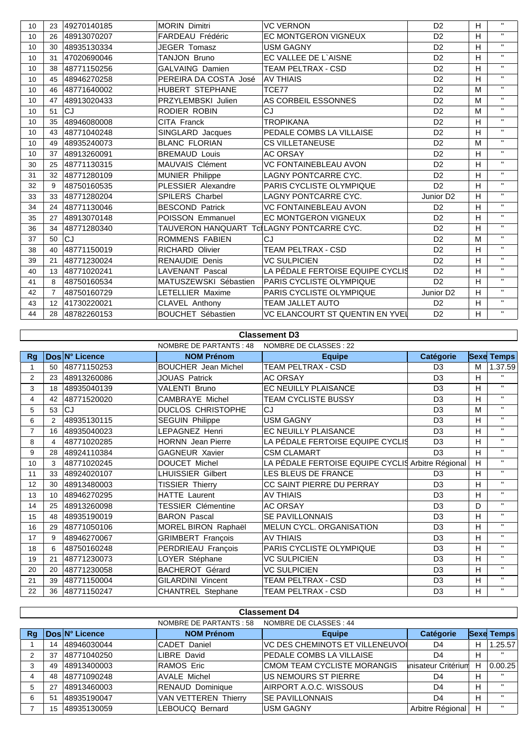| 10 | 23             | 49270140185 | <b>MORIN Dimitri</b>                      | <b>VC VERNON</b>                 | D <sub>2</sub>        | H | $\mathbf{u}$ |
|----|----------------|-------------|-------------------------------------------|----------------------------------|-----------------------|---|--------------|
| 10 | 26             | 48913070207 | FARDEAU Frédéric                          | <b>EC MONTGERON VIGNEUX</b>      | D <sub>2</sub>        | H | $\mathbf{H}$ |
| 10 | 30             | 48935130334 | JEGER Tomasz                              | <b>USM GAGNY</b>                 | D <sub>2</sub>        | H | $\mathbf{H}$ |
| 10 | 31             | 47020690046 | TANJON Bruno                              | EC VALLEE DE L'AISNE             | D <sub>2</sub>        | H | $\mathbf{H}$ |
| 10 | 38             | 48771150256 | <b>GALVAING Damien</b>                    | TEAM PELTRAX - CSD               | D <sub>2</sub>        | H | $\mathbf{H}$ |
| 10 | 45             | 48946270258 | PEREIRA DA COSTA José                     | <b>AV THIAIS</b>                 | D <sub>2</sub>        | H | $\mathbf{H}$ |
| 10 | 46             | 48771640002 | HUBERT STEPHANE                           | TCE77                            | D <sub>2</sub>        | M | $\mathbf{H}$ |
| 10 | 47             | 48913020433 | PRZYLEMBSKI Julien                        | AS CORBEIL ESSONNES              | D <sub>2</sub>        | M | $\mathbf{H}$ |
| 10 | 51             | CJ          | RODIER ROBIN                              | CJ                               | D <sub>2</sub>        | M | $\mathbf{H}$ |
| 10 | 35             | 48946080008 | CITA Franck                               | TROPIKANA                        | D <sub>2</sub>        | H | $\mathbf{H}$ |
| 10 | 43             | 48771040248 | SINGLARD Jacques                          | PEDALE COMBS LA VILLAISE         | D <sub>2</sub>        | H | $\mathbf{H}$ |
| 10 | 49             | 48935240073 | <b>BLANC FLORIAN</b>                      | <b>CS VILLETANEUSE</b>           | D <sub>2</sub>        | M | $\mathbf{H}$ |
| 10 | 37             | 48913260091 | <b>BREMAUD Louis</b>                      | <b>AC ORSAY</b>                  | D <sub>2</sub>        | H | $\mathbf{H}$ |
| 30 | 25             | 48771130315 | <b>MAUVAIS Clément</b>                    | <b>VC FONTAINEBLEAU AVON</b>     | D <sub>2</sub>        | H | $\mathbf{H}$ |
| 31 | 32             | 48771280109 | MUNIER Philippe                           | LAGNY PONTCARRE CYC.             | D <sub>2</sub>        | H | $\mathbf{H}$ |
| 32 | 9              | 48750160535 | PLESSIER Alexandre                        | PARIS CYCLISTE OLYMPIQUE         | D <sub>2</sub>        | H | $\mathbf{H}$ |
| 33 | 33             | 48771280204 | <b>SPILERS Charbel</b>                    | <b>LAGNY PONTCARRE CYC.</b>      | Junior D <sub>2</sub> | H | $\mathbf{H}$ |
| 34 | 24             | 48771130046 | <b>BESCOND Patrick</b>                    | VC FONTAINEBLEAU AVON            | D <sub>2</sub>        | H | $\mathbf{H}$ |
| 35 | 27             | 48913070148 | POISSON Emmanuel                          | <b>EC MONTGERON VIGNEUX</b>      | D <sub>2</sub>        | H | $\mathbf{H}$ |
| 36 | 34             | 48771280340 | TAUVERON HANQUART TclLAGNY PONTCARRE CYC. |                                  | D <sub>2</sub>        | H | $\mathbf{H}$ |
| 37 | 50             | CJ          | ROMMENS FABIEN                            | CJ.                              | D <sub>2</sub>        | м | $\mathbf{H}$ |
| 38 | 40             | 48771150019 | <b>RICHARD Olivier</b>                    | TEAM PELTRAX - CSD               | D <sub>2</sub>        | H | $\mathbf{H}$ |
| 39 | 21             | 48771230024 | <b>RENAUDIE Denis</b>                     | <b>VC SULPICIEN</b>              | D <sub>2</sub>        | H | $\mathbf{H}$ |
| 40 | 13             | 48771020241 | <b>LAVENANT Pascal</b>                    | LA PÉDALE FERTOISE EQUIPE CYCLIS | D <sub>2</sub>        | H | $\mathbf{H}$ |
| 41 | 8              | 48750160534 | MATUSZEWSKI Sébastien                     | PARIS CYCLISTE OLYMPIQUE         | D <sub>2</sub>        | н | $\mathbf{H}$ |
| 42 | $\overline{7}$ | 48750160729 | LETELLIER Maxime                          | PARIS CYCLISTE OLYMPIQUE         | Junior D <sub>2</sub> | H | $\mathbf{H}$ |
| 43 | 12             | 41730220021 | CLAVEL Anthony                            | <b>TEAM JALLET AUTO</b>          | D <sub>2</sub>        | H | $\mathbf{H}$ |
| 44 | 28             | 48782260153 | <b>BOUCHET Sébastien</b>                  | VC ELANCOURT ST QUENTIN EN YVEI  | D <sub>2</sub>        | H | $\mathbf{H}$ |

|                | <b>Classement D3</b>                              |                |                            |                                                   |                |   |                   |  |  |  |
|----------------|---------------------------------------------------|----------------|----------------------------|---------------------------------------------------|----------------|---|-------------------|--|--|--|
|                | NOMBRE DE CLASSES : 22<br>NOMBRE DE PARTANTS : 48 |                |                            |                                                   |                |   |                   |  |  |  |
| Rg             |                                                   | Dos N° Licence | <b>NOM Prénom</b>          | <b>Equipe</b>                                     | Catégorie      |   | <b>Sexe Temps</b> |  |  |  |
|                | 50                                                | 48771150253    | <b>BOUCHER</b> Jean Michel | <b>TEAM PELTRAX - CSD</b>                         | D <sub>3</sub> | М | 1.37.59           |  |  |  |
| $\overline{2}$ | 23                                                | 48913260086    | <b>JOUAS Patrick</b>       | <b>AC ORSAY</b>                                   | D <sub>3</sub> | H |                   |  |  |  |
| 3              | 18                                                | 48935040139    | VALENTI Bruno              | <b>EC NEUILLY PLAISANCE</b>                       | D <sub>3</sub> | H | $\mathbf{H}$      |  |  |  |
| 4              | 42                                                | 48771520020    | CAMBRAYE Michel            | TEAM CYCLISTE BUSSY                               | D <sub>3</sub> | H | $\mathbf{H}$      |  |  |  |
| 5              | 53                                                | <b>CJ</b>      | <b>DUCLOS CHRISTOPHE</b>   | CJ                                                | D <sub>3</sub> | М | $\mathbf{H}$      |  |  |  |
| 6              | 2                                                 | 48935130115    | <b>SEGUIN Philippe</b>     | <b>USM GAGNY</b>                                  | D <sub>3</sub> | H | $\mathbf{H}$      |  |  |  |
| $\overline{7}$ | 16                                                | 48935040023    | LEPAGNEZ Henri             | EC NEUILLY PLAISANCE                              | D <sub>3</sub> | H | $\mathbf{H}$      |  |  |  |
| 8              | 4                                                 | 48771020285    | <b>HORNN</b> Jean Pierre   | LA PÉDALE FERTOISE EQUIPE CYCLIS                  | D <sub>3</sub> | H | $\mathbf{H}$      |  |  |  |
| 9              | 28                                                | 48924110384    | GAGNEUR Xavier             | <b>CSM CLAMART</b>                                | D <sub>3</sub> | H | $\mathbf{H}$      |  |  |  |
| 10             | 3                                                 | 48771020245    | DOUCET Michel              | LA PÉDALE FERTOISE EQUIPE CYCLIS Arbitre Régional |                | H | $\mathbf{H}$      |  |  |  |
| 11             | 33                                                | 48924020107    | LHUISSIER Gilbert          | LES BLEUS DE FRANCE                               | D <sub>3</sub> | H | $\mathbf{H}$      |  |  |  |
| 12             | 30                                                | 48913480003    | <b>TISSIER Thierry</b>     | CC SAINT PIERRE DU PERRAY                         | D <sub>3</sub> | H | $\mathbf{H}$      |  |  |  |
| 13             | 10                                                | 48946270295    | <b>HATTE Laurent</b>       | <b>AV THIAIS</b>                                  | D <sub>3</sub> | H | $\mathbf{H}$      |  |  |  |
| 14             | 25                                                | 48913260098    | <b>TESSIER Clémentine</b>  | <b>AC ORSAY</b>                                   | D <sub>3</sub> | D | $\mathbf{H}$      |  |  |  |
| 15             | 48                                                | 48935190019    | <b>BARON Pascal</b>        | <b>SE PAVILLONNAIS</b>                            | D <sub>3</sub> | н | $\mathbf{H}$      |  |  |  |
| 16             | 29                                                | 48771050106    | MOREL BIRON Raphaël        | MELUN CYCL. ORGANISATION                          | D <sub>3</sub> | н | $\mathbf{H}$      |  |  |  |
| 17             | 9                                                 | 48946270067    | <b>GRIMBERT François</b>   | <b>AV THIAIS</b>                                  | D <sub>3</sub> | н | $\mathbf{H}$      |  |  |  |
| 18             | 6                                                 | 48750160248    | PERDRIEAU François         | PARIS CYCLISTE OLYMPIQUE                          | D <sub>3</sub> | н | $\mathbf{H}$      |  |  |  |
| 19             | 21                                                | 48771230073    | LOYER Stéphane             | <b>VC SULPICIEN</b>                               | D <sub>3</sub> | H | $\mathbf{H}$      |  |  |  |
| 20             | 20                                                | 48771230058    | <b>BACHEROT Gérard</b>     | <b>VC SULPICIEN</b>                               | D <sub>3</sub> | н | $\mathbf{H}$      |  |  |  |
| 21             | 39                                                | 48771150004    | GILARDINI Vincent          | TEAM PELTRAX - CSD                                | D <sub>3</sub> | H | $\mathbf{H}$      |  |  |  |
| 22             | 36                                                | 48771150247    | <b>CHANTREL Stephane</b>   | TEAM PELTRAX - CSD                                | D <sub>3</sub> | H | $\mathbf{H}$      |  |  |  |

|    | <b>Classement D4</b>                              |                |                             |                                        |                     |   |                   |  |  |
|----|---------------------------------------------------|----------------|-----------------------------|----------------------------------------|---------------------|---|-------------------|--|--|
|    | NOMBRE DE CLASSES : 44<br>NOMBRE DE PARTANTS : 58 |                |                             |                                        |                     |   |                   |  |  |
| Ra |                                                   | Dos N° Licence | <b>NOM Prénom</b>           | <b>Equipe</b>                          | Catégorie           |   | <b>Sexe Temps</b> |  |  |
|    | 14                                                | 48946030044    | CADET Daniel                | <b>VC DES CHEMINOTS ET VILLENEUVOI</b> | D4                  | н | 1.25.57           |  |  |
|    | 37                                                | 48771040250    | LIBRE David                 | PEDALE COMBS LA VILLAISE               | D <sub>4</sub>      | H | -11               |  |  |
|    | 49                                                | 48913400003    | RAMOS Eric                  | CMOM TEAM CYCLISTE MORANGIS            | Inisateur Critérium | н | 0.00.25           |  |  |
| 4  | 48                                                | 48771090248    | AVALE Michel                | <b>US NEMOURS ST PIERRE</b>            | D4                  | H | $\mathbf{H}$      |  |  |
| 5  | 27                                                | 48913460003    | RENAUD Dominique            | AIRPORT A.O.C. WISSOUS                 | D <sub>4</sub>      | н | $\mathbf{u}$      |  |  |
| 6  | 5                                                 | 48935190047    | <b>VAN VETTEREN Thierry</b> | <b>SE PAVILLONNAIS</b>                 | D <sub>4</sub>      | н | $\mathbf{u}$      |  |  |
|    | 15                                                | 48935130059    | LEBOUCQ Bernard             | <b>USM GAGNY</b>                       | Arbitre Régional    | н | $\mathbf{u}$      |  |  |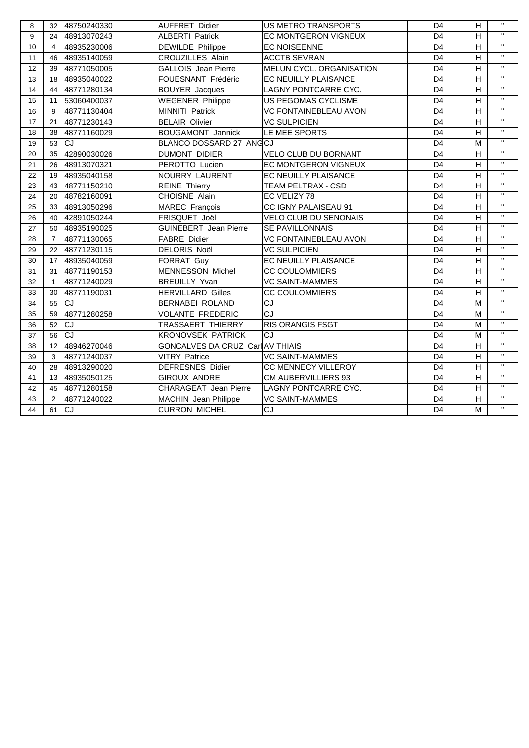| 8  | 32             | 48750240330 | <b>AUFFRET Didier</b>            | <b>US METRO TRANSPORTS</b>   | D <sub>4</sub> | H              | $\mathbf{H}$ |
|----|----------------|-------------|----------------------------------|------------------------------|----------------|----------------|--------------|
| 9  | 24             | 48913070243 | <b>ALBERTI Patrick</b>           | EC MONTGERON VIGNEUX         | D <sub>4</sub> | H              | $\mathbf{H}$ |
| 10 | $\overline{4}$ | 48935230006 | <b>DEWILDE Philippe</b>          | <b>EC NOISEENNE</b>          | D <sub>4</sub> | $\overline{H}$ | $\mathbf{H}$ |
| 11 | 46             | 48935140059 | <b>CROUZILLES Alain</b>          | <b>ACCTB SEVRAN</b>          | D <sub>4</sub> | H              | $\mathbf{H}$ |
| 12 | 39             | 48771050005 | <b>GALLOIS</b> Jean Pierre       | MELUN CYCL. ORGANISATION     | D <sub>4</sub> | H              | $\mathbf{H}$ |
| 13 | 18             | 48935040022 | FOUESNANT Frédéric               | EC NEUILLY PLAISANCE         | D <sub>4</sub> | H              | $\mathbf{H}$ |
| 14 | 44             | 48771280134 | <b>BOUYER Jacques</b>            | LAGNY PONTCARRE CYC.         | D <sub>4</sub> | H              | $\mathbf{H}$ |
| 15 | 11             | 53060400037 | <b>WEGENER Philippe</b>          | US PEGOMAS CYCLISME          | D <sub>4</sub> | H              | $\mathbf{H}$ |
| 16 | 9              | 48771130404 | MINNITI Patrick                  | VC FONTAINEBLEAU AVON        | D <sub>4</sub> | H              | $\mathbf{H}$ |
| 17 | 21             | 48771230143 | <b>BELAIR Olivier</b>            | <b>VC SULPICIEN</b>          | D <sub>4</sub> | H              | $\mathbf{H}$ |
| 18 | 38             | 48771160029 | <b>BOUGAMONT Jannick</b>         | LE MEE SPORTS                | D <sub>4</sub> | $\overline{H}$ | $\mathbf{H}$ |
| 19 | 53             | <b>CJ</b>   | BLANCO DOSSARD 27 ANGCJ          |                              | D <sub>4</sub> | M              | $\mathbf{H}$ |
| 20 | 35             | 42890030026 | <b>DUMONT DIDIER</b>             | VELO CLUB DU BORNANT         | D <sub>4</sub> | H              | $\mathbf{H}$ |
| 21 | 26             | 48913070321 | PEROTTO Lucien                   | EC MONTGERON VIGNEUX         | D <sub>4</sub> | H              | $\mathbf{H}$ |
| 22 | 19             | 48935040158 | NOURRY LAURENT                   | EC NEUILLY PLAISANCE         | D <sub>4</sub> | H              | $\mathbf{H}$ |
| 23 | 43             | 48771150210 | <b>REINE Thierry</b>             | TEAM PELTRAX - CSD           | D <sub>4</sub> | H              | $\mathbf{H}$ |
| 24 | 20             | 48782160091 | CHOISNE Alain                    | EC VELIZY 78                 | D <sub>4</sub> | H              | $\mathbf{H}$ |
| 25 | 33             | 48913050296 | MAREC François                   | CC IGNY PALAISEAU 91         | D <sub>4</sub> | H              | $\mathbf{H}$ |
| 26 | 40             | 42891050244 | FRISQUET Joël                    | <b>VELO CLUB DU SENONAIS</b> | D <sub>4</sub> | H              | $\mathbf{H}$ |
| 27 | 50             | 48935190025 | <b>GUINEBERT</b> Jean Pierre     | SE PAVILLONNAIS              | D <sub>4</sub> | H              | $\mathbf{H}$ |
| 28 | $\overline{7}$ | 48771130065 | <b>FABRE Didier</b>              | VC FONTAINEBLEAU AVON        | D <sub>4</sub> | H              | $\mathbf{H}$ |
| 29 | 22             | 48771230115 | DELORIS Noël                     | <b>VC SULPICIEN</b>          | D <sub>4</sub> | $\overline{H}$ | $\mathbf{H}$ |
| 30 | 17             | 48935040059 | FORRAT Guy                       | EC NEUILLY PLAISANCE         | D <sub>4</sub> | H              | $\mathbf{H}$ |
| 31 | 31             | 48771190153 | <b>MENNESSON Michel</b>          | <b>CC COULOMMIERS</b>        | D <sub>4</sub> | H              | $\mathbf{H}$ |
| 32 | $\mathbf{1}$   | 48771240029 | <b>BREUILLY Yvan</b>             | <b>VC SAINT-MAMMES</b>       | D <sub>4</sub> | H              | $\mathbf{H}$ |
| 33 | 30             | 48771190031 | <b>HERVILLARD Gilles</b>         | <b>CC COULOMMIERS</b>        | D <sub>4</sub> | H              | $\mathbf{H}$ |
| 34 | 55             | <b>CJ</b>   | BERNABEI ROLAND                  | CJ                           | D <sub>4</sub> | M              | $\mathbf{H}$ |
| 35 | 59             | 48771280258 | <b>VOLANTE FREDERIC</b>          | CJ                           | D <sub>4</sub> | M              | $\mathbf{H}$ |
| 36 | 52             | <b>CJ</b>   | TRASSAERT THIERRY                | <b>RIS ORANGIS FSGT</b>      | D <sub>4</sub> | м              | $\mathbf{H}$ |
| 37 | 56             | CJ          | <b>KRONOVSEK PATRICK</b>         | CJ                           | D <sub>4</sub> | M              | $\mathbf{H}$ |
| 38 | 12             | 48946270046 | GONCALVES DA CRUZ Carl AV THIAIS |                              | D <sub>4</sub> | H              | $\mathbf{H}$ |
| 39 | 3              | 48771240037 | <b>VITRY Patrice</b>             | <b>VC SAINT-MAMMES</b>       | D <sub>4</sub> | H              | $\mathbf{H}$ |
| 40 | 28             | 48913290020 | <b>DEFRESNES Didier</b>          | CC MENNECY VILLEROY          | D <sub>4</sub> | H              | $\mathbf{H}$ |
| 41 | 13             | 48935050125 | <b>GIROUX ANDRE</b>              | <b>CM AUBERVILLIERS 93</b>   | D <sub>4</sub> | H              | $\mathbf{H}$ |
| 42 | 45             | 48771280158 | CHARAGEAT Jean Pierre            | LAGNY PONTCARRE CYC.         | D <sub>4</sub> | H              | $\mathbf{H}$ |
| 43 | 2              | 48771240022 | MACHIN Jean Philippe             | <b>VC SAINT-MAMMES</b>       | D <sub>4</sub> | H              | $\mathbf{H}$ |
| 44 | 61             | <b>CJ</b>   | <b>CURRON MICHEL</b>             | CJ                           | D <sub>4</sub> | M              | $\mathbf{H}$ |